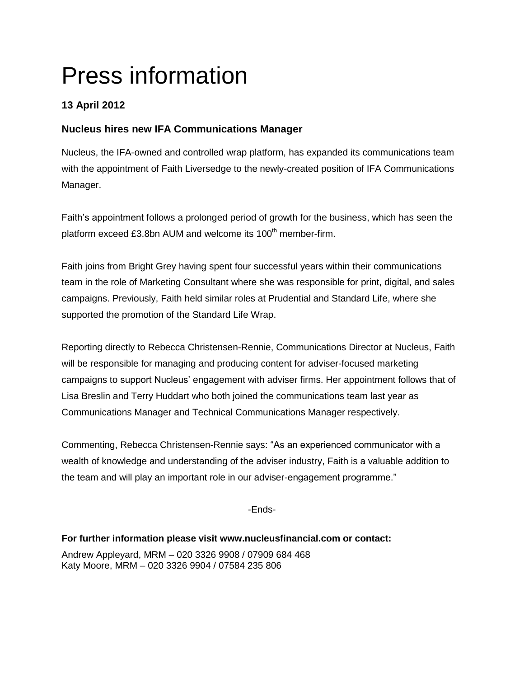# Press information

## **13 April 2012**

## **Nucleus hires new IFA Communications Manager**

Nucleus, the IFA-owned and controlled wrap platform, has expanded its communications team with the appointment of Faith Liversedge to the newly-created position of IFA Communications Manager.

Faith's appointment follows a prolonged period of growth for the business, which has seen the platform exceed £3.8bn AUM and welcome its  $100<sup>th</sup>$  member-firm.

Faith joins from Bright Grey having spent four successful years within their communications team in the role of Marketing Consultant where she was responsible for print, digital, and sales campaigns. Previously, Faith held similar roles at Prudential and Standard Life, where she supported the promotion of the Standard Life Wrap.

Reporting directly to Rebecca Christensen-Rennie, Communications Director at Nucleus, Faith will be responsible for managing and producing content for adviser-focused marketing campaigns to support Nucleus' engagement with adviser firms. Her appointment follows that of Lisa Breslin and Terry Huddart who both joined the communications team last year as Communications Manager and Technical Communications Manager respectively.

Commenting, Rebecca Christensen-Rennie says: "As an experienced communicator with a wealth of knowledge and understanding of the adviser industry, Faith is a valuable addition to the team and will play an important role in our adviser-engagement programme."

-Ends-

**For further information please visit www.nucleusfinancial.com or contact:** Andrew Appleyard, MRM – 020 3326 9908 / 07909 684 468 Katy Moore, MRM – 020 3326 9904 / 07584 235 806